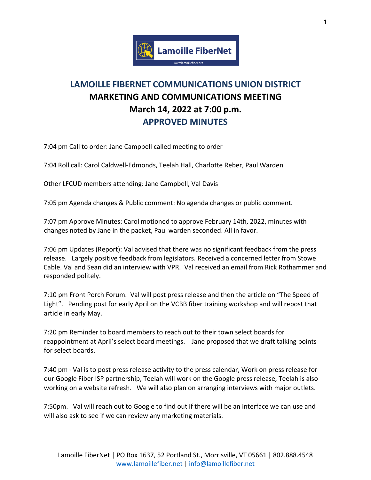

## **LAMOILLE FIBERNET COMMUNICATIONS UNION DISTRICT MARKETING AND COMMUNICATIONS MEETING March 14, 2022 at 7:00 p.m. APPROVED MINUTES**

7:04 pm Call to order: Jane Campbell called meeting to order

7:04 Roll call: Carol Caldwell-Edmonds, Teelah Hall, Charlotte Reber, Paul Warden

Other LFCUD members attending: Jane Campbell, Val Davis

7:05 pm Agenda changes & Public comment: No agenda changes or public comment.

7:07 pm Approve Minutes: Carol motioned to approve February 14th, 2022, minutes with changes noted by Jane in the packet, Paul warden seconded. All in favor.

7:06 pm Updates (Report): Val advised that there was no significant feedback from the press release. Largely positive feedback from legislators. Received a concerned letter from Stowe Cable. Val and Sean did an interview with VPR. Val received an email from Rick Rothammer and responded politely.

7:10 pm Front Porch Forum. Val will post press release and then the article on "The Speed of Light". Pending post for early April on the VCBB fiber training workshop and will repost that article in early May.

7:20 pm Reminder to board members to reach out to their town select boards for reappointment at April's select board meetings. Jane proposed that we draft talking points for select boards.

7:40 pm - Val is to post press release activity to the press calendar, Work on press release for our Google Fiber ISP partnership, Teelah will work on the Google press release, Teelah is also working on a website refresh. We will also plan on arranging interviews with major outlets.

7:50pm. Val will reach out to Google to find out if there will be an interface we can use and will also ask to see if we can review any marketing materials.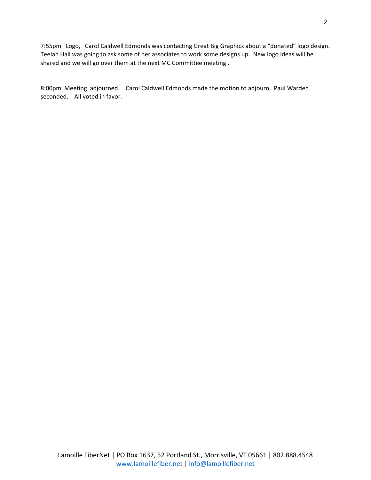7:55pm Logo, Carol Caldwell Edmonds was contacting Great Big Graphics about a "donated" logo design. Teelah Hall was going to ask some of her associates to work some designs up. New logo ideas will be shared and we will go over them at the next MC Committee meeting .

8:00pm Meeting adjourned. Carol Caldwell Edmonds made the motion to adjourn, Paul Warden seconded. All voted in favor.